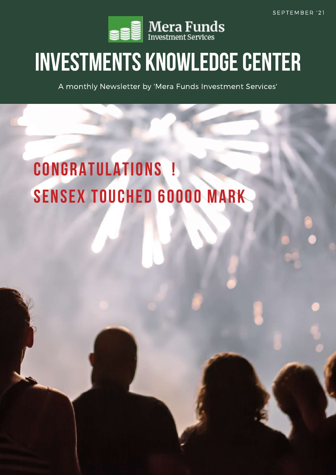

# **INVESTMENTS KNOWLEDGECENTER**

A monthly Newsletter by 'Mera Funds Investment Services'

# **CONGRATULATIONS ! SENSEX TOUCHED 60000 MARK**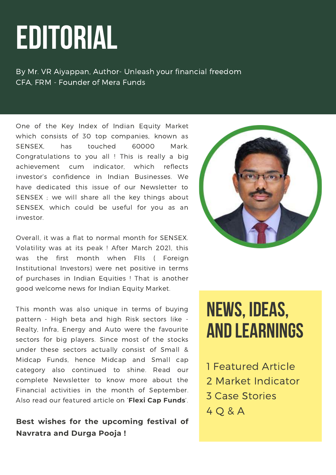# **EDITORIAL**

By Mr. VR Aiyappan, Author- Unleash your financial freedom CFA, FRM - Founder of Mera Funds

One of the Key Index of Indian Equity Market which consists of 30 top companies, known as SENSEX, has touched 60000 Mark. Congratulations to you all ! This is really a big achievement cum indicator, which reflects investor's confidence in Indian Businesses. We have dedicated this issue of our Newsletter to SENSEX ; we will share all the key things about SENSEX, which could be useful for you as an investor.

Overall, it was a flat to normal month for SENSEX. Volatility was at its peak ! After March 2021, this was the first month when FIIs ( Foreign Institutional Investors) were net positive in terms of purchases in Indian Equities ! That is another good welcome news for Indian Equity Market.

This month was also unique in terms of buying pattern - High beta and high Risk sectors like - Realty, Infra, Energy and Auto were the favourite sectors for big players. Since most of the stocks under these sectors actually consist of Small & Midcap Funds, hence Midcap and Small cap category also continued to shine. Read our complete Newsletter to know more about the Financial activities in the month of September. Also read our featured article on '**Flexi Cap Funds**'.

# **Best wishes for the upcoming festival of Navratra and Durga Pooja !**



# **NEWS, IDEAS, AND LEARNINGS**

- 1 Featured Article
- 2 Market Indicator
- 3 Case Stories
- 4 Q & A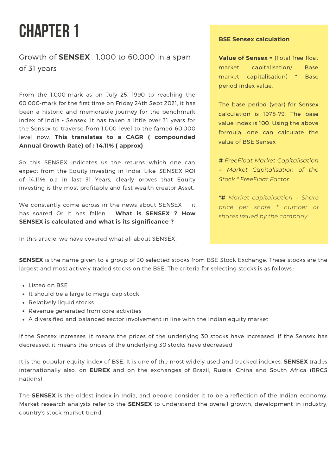# **CHAPTER 1**

Growth of **SENSEX** : 1,000 to 60,000 in a span of 31 years

From the 1,000-mark as on July 25, 1990 to reaching the 60,000-mark for the first time on Friday 24th Sept 2021, it has been a historic and memorable journey for the benchmark index of India - [Sensex.](https://www.business-standard.com/topic/sensex) It has taken a little over 31 years for the [Sensex](https://www.business-standard.com/topic/sensex) to traverse from 1,000 level to the famed 60,000 level now. **This translates to a CAGR ( compounded Annual Growth Rate) of : 14.11% ( approx)**

So this SENSEX indicates us the returns which one can expect from the Equity investing in India. Like, SENSEX ROI of 14.11% p.a in last 31 Years, clearly proves that Equity investing is the most profitable and fast wealth creator Asset.

We constantly come across in the news about SENSEX - it has soared Or it has fallen….. **What is SENSEX ? How SENSEX is calculated and what is its significance ?**

In this article, we have covered what all about SENSEX.

#### **BSE Sensex calculation**

**Value of Sensex** = (Total free float market capitalisation/ Base market capitalisation) \* Base period index value.

The base period (year) for Sensex calculation is 1978-79. The base value index is 100. Using the above formula, one can calculate the value of BSE Sensex

**#** *FreeFloat Market Capitalisation = Market Capitalisation of the Stock \* FreeFloat Factor*

**\*#** *Market capitalisation = Share price per share \* number of shares issued by the company*

**SENSEX** is the name given to a group of 30 selected stocks from BSE Stock Exchange. These stocks are the largest and most actively traded stocks on the BSE. The criteria for selecting stocks is as follows :

- Listed on BSE
- It should be a large to mega-cap stock.
- Relatively liquid stocks
- Revenue generated from core activities
- A diversified and balanced sector involvement in line with the Indian equity market

If the Sensex increases, it means the prices of the underlying 30 stocks have increased. If the Sensex has decreased, it means the prices of the underlying 30 stocks have decreased

It is the popular equity index of BSE. It is one of the most widely used and tracked indexes. **SENSEX** trades internationally also, on **EUREX** and on the exchanges of Brazil, Russia, China and South Africa (BRCS nations)

The **SENSEX** is the oldest index in India, and people consider it to be a reflection of the Indian economy. Market research analysts refer to the **SENSEX** to understand the overall growth, development in industry, country's stock market trend.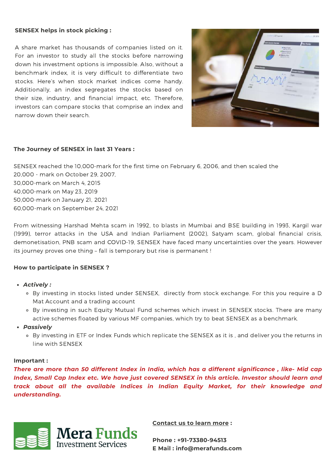#### **SENSEX helps in stock picking :**

A share market has thousands of companies listed on it. For an investor to study all the stocks before narrowing down his investment options is impossible. Also, without a benchmark index, it is very difficult to differentiate two stocks. Here's when stock market indices come handy. Additionally, an index segregates the stocks based on their size, industry, and financial impact, etc. Therefore, investors can compare stocks that comprise an index and narrow down their search.



#### **The Journey of SENSEX in last 31 Years :**

SENSEX reached the 10,000-mark for the first time on February 6, 2006, and then scaled the 20,000 - mark on October 29, 2007, 30,000-mark on March 4, 2015 40,000-mark on May 23, 2019 50,000-mark on January 21, 2021 60,000-mark on September 24, 2021

From witnessing Harshad Mehta scam in 1992, to blasts in Mumbai and BSE building in 1993, Kargil war (1999), terror attacks in the USA and Indian Parliament (2002), Satyam scam, global financial crisis, demonetisation, PNB scam and COVID-19, SENSEX have faced many uncertainties over the years. However its journey proves one thing – fall is temporary but rise is permanent !

#### **How to participate in SENSEX ?**

- *Actively :*
	- o By investing in stocks listed under SENSEX, directly from stock exchange. For this you require a D Mat Account and a trading account
	- By investing in such Equity Mutual Fund schemes which invest in SENSEX stocks. There are many active schemes floated by various MF companies, which try to beat SENSEX as a benchmark.
- *Passively*
	- By investing in ETF or Index Funds which replicate the SENSEX as it is , and deliver you the returns in line with SENSEX

#### **Important :**

There are more than 50 different Index in India, which has a different significance, like- Mid cap *Index, Small Cap Index etc. We have just covered SENSEX in this article. Investor should learn and track about all the available Indices in Indian Equity Market, for their knowledge and understanding.*



**Contact us to learn more :**

**Phone : +91-73380-94513 E Mail : info@merafunds.com**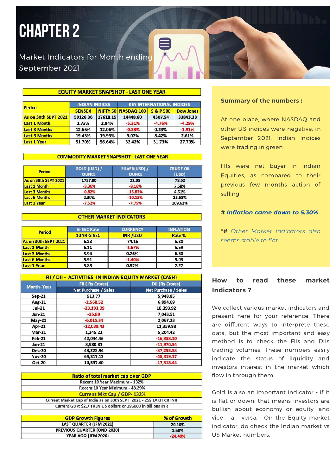# **CHAPTER 2**

# Market Indicators for Month ending September 2021

#### **EQUITY MARKET SNAPSHOT - LAST ONE YEAR**

| Period               | <b>INDIAN INDICES</b> |          | <b>KEY INTERNATIONAL INDICIES</b> |           |                  |  |
|----------------------|-----------------------|----------|-----------------------------------|-----------|------------------|--|
|                      | <b>SENSEX</b>         |          | NIFTY 50 NASDAQ 100               | S & P 500 | <b>Dow Jones</b> |  |
| As on 30th SEPT 2021 | 59126.36              | 17618.15 | 14448.60                          | 4307.54   | 33843.33         |  |
| Last 1 Month         | 2.73%                 | 2.84%    | $-5.31%$                          | $-4.76%$  | $-4.29%$         |  |
| <b>Last 3 Months</b> | 12.66%                | 12.06%   | $-0.38%$                          | 0.23%     | $-1.91%$         |  |
| <b>Last 6 Months</b> | 19.43%                | 19.93%   | 9.07%                             | 8.42%     | 2.61%            |  |
| Last 1 Year          | 51.70%                | 56.64%   | 32.42%                            | 31.73%    | 27.70%           |  |

#### **COMMODITY MARKET SNAPSHOT - LAST ONE YEAR**

| <b>Period</b>        | GOLD (USD) /<br><b>OUNCE</b> | SILVER(USD) /<br><b>OUNCE</b> | <b>CRUDE OIL</b><br>(USD) |  |
|----------------------|------------------------------|-------------------------------|---------------------------|--|
| As on 30th SEPT 2021 | 1757.00                      | 22.05                         | 78.52                     |  |
| Last 1 Month         | $-3.36%$                     | $-8.16%$                      | 7.58%                     |  |
| <b>Last 3 Months</b> | $-0.82%$                     | $-15.83%$                     | 4.51%                     |  |
| <b>Last 6 Months</b> | 2.30%                        | $-10.13%$                     | 23.58%                    |  |
| Last 1 Year          | $-7.52%$                     | $-7.75%$                      | 109.61%                   |  |

#### **OTHER MARKET INDICATORS**

| Period               | <b>G-SEC Rate</b>  | <b>CURRENCY</b> | <b>INFLATION</b> |
|----------------------|--------------------|-----------------|------------------|
|                      | <b>10 YR G SEC</b> | <b>INR/USD</b>  | Rate %           |
| As on 30th SEPT 2021 | 6.23               | 74.16           | 5.30             |
| Last 1 Month         | 6.11               | $-1.67%$        | 5.59             |
| <b>Last 3 Months</b> | 5.94               | 0.26%           | 6.30             |
| <b>Last 6 Months</b> | 5.91               | $-1.40%$        | 5.03             |
| Last 1 Year          | 5.83               | 0.52%           | 7.27             |

|                   | FII / DII - ACTIVITIES IN INDIAN EQUITY MARKET (CASH) |                             |  |  |
|-------------------|-------------------------------------------------------|-----------------------------|--|--|
| <b>Month-Year</b> | <b>FII (Rs Crores)</b>                                | <b>DII (Rs Crores)</b>      |  |  |
|                   | <b>Net Purchase / Sales</b>                           | <b>Net Purchase / Sales</b> |  |  |
| <b>Sep-21</b>     | 913.77                                                | 5,948.85                    |  |  |
| Aug-21            | $-2,568.52$                                           | 6,894.69                    |  |  |
| Jul-21            | $-23,193.39$                                          | 18,393.92                   |  |  |
| Jun-21            | $-25.89$                                              | 7,043.51<br>2,067.23        |  |  |
| $May-21$          | $-6,015.34$                                           |                             |  |  |
| <b>Apr-21</b>     | $-12,039.43$                                          | 11,359.88                   |  |  |
| $Mar-21$          | 1,245.22                                              | 5,204.42                    |  |  |
| Feb-21            | 42,044.46                                             | $-16,358.10$                |  |  |
| $Jan-21$          | 8,980.81                                              | $-11,970.54$                |  |  |
| <b>Dec-20</b>     | 48.223.94                                             | $-37,293.53$                |  |  |
| <b>Nov-20</b>     | 65,317.13                                             | $-48,319.17$                |  |  |
| <b>Oct-20</b>     | 14,537.40                                             | $-17,318.44$                |  |  |

| Ratio of total market cap over GDP                                 |  |
|--------------------------------------------------------------------|--|
| Recent 10 Year Maximum - 132%                                      |  |
| Recent 10 Year Minimum - 48.29%                                    |  |
| Current Mkt Cap / GDP-132%                                         |  |
| Current Market Cap of India as on 30th SEPT 2021 - 259 LAKH CR INR |  |
| Current GDP: \$2.7 TRLN US dollars or 196000 in billions INR       |  |

| <b>GDP Growth Figures</b>   | % of Growth |
|-----------------------------|-------------|
| LAST QUARTER (JFM 2021)     | 20.10%      |
| PREVIOUS QUARTER (OND 2020) | 1.60%       |
| YEAR AGO (JFM 2020)         | $-24.40%$   |

#### **Summary of the numbers :**

At one place, where NASDAQ and other US indices were negative, in September 2021, Indian Indices were trading in green.

FIIs were net buyer in Indian Equities, as compared to their previous few months action of selling

#### **#** *Inflation came down to 5.30%*

**\*#** *Other Market Indicators also seems stable to flat*

### **How to read these market Indicators ?**

We collect various market indicators and present here for your reference. There are different ways to interprete these data, but the most important and easy method is to check the FIIs and DIIs trading volumes. These numbers easily indicate the status of liquidity and investors interest in the market which flow in through them.

Gold is also an important indicator - if it is flat or down, that means investors are bullish about economy or equity, and vice - a - versa.. On the Equity market indicator, do check the Indian market vs US Market numbers.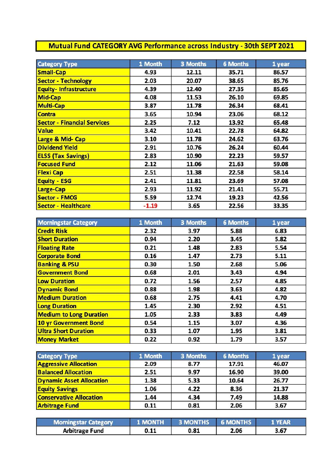# **Mutual Fund CATEGORY AVG Performance across Industry - 30th SEPT 2021**

| <b>Category Type</b>               | 1 Month | 3 Months | <b>6 Months</b> | 1 year |
|------------------------------------|---------|----------|-----------------|--------|
| <b>Small-Cap</b>                   | 4.93    | 12.11    | 35.71           | 86.57  |
| <b>Sector - Technology</b>         | 2.03    | 20.07    | 38.65           | 85.76  |
| <b>Equity-Infrastructure</b>       | 4.39    | 12.40    | 27.35           | 85.65  |
| <b>Mid-Cap</b>                     | 4.08    | 11.53    | 26.10           | 69.85  |
| <b>Multi-Cap</b>                   | 3.87    | 11.78    | 26.34           | 68.41  |
| <b>Contra</b>                      | 3.65    | 10.94    | 23.06           | 68.12  |
| <b>Sector - Financial Services</b> | 2.25    | 7.12     | 13.92           | 65.48  |
| <b>Value</b>                       | 3.42    | 10.41    | 22.78           | 64.82  |
| Large & Mid- Cap                   | 3.10    | 11.78    | 24.62           | 63.76  |
| <b>Dividend Yield</b>              | 2.91    | 10.76    | 26.24           | 60.44  |
| <b>ELSS (Tax Savings)</b>          | 2.83    | 10.90    | 22.23           | 59.57  |
| <b>Focused Fund</b>                | 2.12    | 11.06    | 21.63           | 59.08  |
| <b>Flexi Cap</b>                   | 2.51    | 11.38    | 22.58           | 58.14  |
| <b>Equity - ESG</b>                | 2.41    | 11.81    | 23.69           | 57.08  |
| Large-Cap                          | 2.93    | 11.92    | 21.41           | 55.71  |
| <b>Sector - FMCG</b>               | 5.59    | 12.74    | 19.23           | 42.56  |
| <b>Sector - Healthcare</b>         | $-1.19$ | 3.65     | 22.56           | 33.35  |

| <b>Morningstar Category</b>    | 1 Month | 3 Months     | <b>6 Months</b> | 1 year |
|--------------------------------|---------|--------------|-----------------|--------|
| <b>Credit Risk</b>             | 2.32    | 5.88<br>3.97 |                 | 6.83   |
| <b>Short Duration</b>          | 0.94    | 2.20         | 3.45            | 5.82   |
| <b>Floating Rate</b>           | 0.21    | 1.48         | 2.83            | 5.54   |
| <b>Corporate Bond</b>          | 0.16    | 1.47         | 2.73            | 5.11   |
| <b>Banking &amp; PSU</b>       | 0.30    | 1.50         | 2.68            | 5.06   |
| <b>Government Bond</b>         | 0.68    | 2.01         | 3.43            | 4.94   |
| <b>Low Duration</b>            | 0.72    | 1.56         | 2.57            | 4.85   |
| <b>Dynamic Bond</b>            | 0.88    | 1.98         | 3.63            | 4.82   |
| <b>Medium Duration</b>         | 0.68    | 2.75         | 4.41            | 4.70   |
| <b>Long Duration</b>           | 1.45    | 2.30         | 2.92            | 4.51   |
| <b>Medium to Long Duration</b> | 1.05    | 2.33         | 3.83            | 4.49   |
| 10 yr Government Bond          | 0.54    | 1.15         | 3.07            | 4.36   |
| <b>Ultra Short Duration</b>    | 0.33    | 1.07         | 1.95            | 3.81   |
| <b>Money Market</b>            | 0.22    | 0.92         | 1.79            | 3.57   |

| <b>Category Type</b>            | 1 Month | 3 Months | <b>6 Months</b> | 1 year |  |
|---------------------------------|---------|----------|-----------------|--------|--|
| <b>Aggressive Allocation</b>    | 2.09    | 8.77     | 17.91           | 46.07  |  |
| <b>Balanced Allocation</b>      | 2.51    | 9.97     | 16.90           | 39.00  |  |
| <b>Dynamic Asset Allocation</b> | 1.38    | 5.33     | 10.64           | 26.77  |  |
| <b>Equity Savings</b>           | 1.06    | 4.22     | 8.36            | 21.37  |  |
| <b>Conservative Allocation</b>  | 1.44    | 4.34     | 7.49            | 14.88  |  |
| <b>Arbitrage Fund</b>           | 0.11    | 0.81     | 2.06            | 3.67   |  |

| <b>Morningstar Category</b> | 1 MONTH | <b>3 MONTHS 6 MONTHS</b> |      | 1 YEAR |
|-----------------------------|---------|--------------------------|------|--------|
| <b>Arbitrage Fund</b>       | 0.11    | 0.81                     | 2.06 | 3.67   |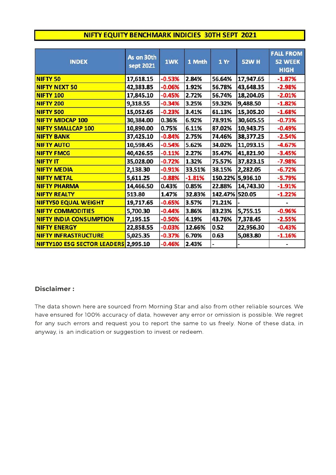### NIFTY EQUITY BENCHMARK INDICIES 30TH SEPT 2021

| <b>INDEX</b>                       | As on 30th<br>sept 2021 | <b>1WK</b> | 1 Mnth   | 1 Yr           | <b>52W H</b>     | <b>FALL FROM</b><br>52 WEEK<br><b>HIGH</b> |
|------------------------------------|-------------------------|------------|----------|----------------|------------------|--------------------------------------------|
| <b>NIFTY 50</b>                    | 17,618.15               | $-0.53%$   | 2.84%    | 56.64%         | 17,947.65        | $-1.87%$                                   |
| <b>NIFTY NEXT 50</b>               | 42,383.85               | $-0.06%$   | 1.92%    | 56.78%         | 43,648.35        | $-2.98%$                                   |
| <b>NIFTY 100</b>                   | 17,845.10               | $-0.45%$   | 2.72%    | 56.74%         | 18,204.05        | $-2.01%$                                   |
| <b>NIFTY 200</b>                   | 9,318.55                | $-0.34%$   | 3.25%    | 59.32%         | 9,488.50         | $-1.82%$                                   |
| <b>NIFTY 500</b>                   | 15,052.65               | $-0.23%$   | 3.41%    | 61.13%         | 15,305.20        | $-1.68%$                                   |
| <b>NIFTY MIDCAP 100</b>            | 30,384.00               | 0.36%      | 6.92%    | 78.91%         | 30,605.55        | $-0.73%$                                   |
| <b>NIFTY SMALLCAP 100</b>          | 10,890.00               | 0.75%      | 6.11%    | 87.02%         | 10,943.75        | $-0.49%$                                   |
| <b>NIFTY BANK</b>                  | 37,425.10               | $-0.84%$   | 2.75%    | 74.46%         | 38,377.25        | $-2.54%$                                   |
| <b>NIFTY AUTO</b>                  | 10,598.45               | $-0.54%$   | 5.62%    | 34.02%         | 11,093.15        | $-4.67%$                                   |
| <b>NIFTY FMCG</b>                  | 40,426.55               | $-0.11%$   | 2.27%    | 35.47%         | 41,821.90        | $-3.45%$                                   |
| <b>NIFTY IT</b>                    | 35,028.00               | $-0.72%$   | 1.32%    | 75.57%         | 37,823.15        | $-7.98%$                                   |
| <b>NIFTY MEDIA</b>                 | 2,138.30                | $-0.91%$   | 33.51%   | 38.15%         | 2,282.05         | $-6.72%$                                   |
| <b>NIFTY METAL</b>                 | 5,611.25                | $-0.88%$   | $-1.81%$ |                | 150.22% 5,936.10 | $-5.79%$                                   |
| <b>NIFTY PHARMA</b>                | 14,466.50               | 0.43%      | 0.85%    | 22.88%         | 14,743.30        | $-1.91%$                                   |
| <b>NIFTY REALTY</b>                | 513.80                  | 1.47%      | 32.83%   | 142.47% 520.05 |                  | $-1.22%$                                   |
| <b>NIFTY50 EQUAL WEIGHT</b>        | 19,717.65               | $-0.65%$   | 3.57%    | 71.21%         |                  |                                            |
| <b>NIFTY COMMODITIES</b>           | 5,700.30                | $-0.44%$   | 3.86%    | 83.23%         | 5,755.15         | $-0.96%$                                   |
| <b>NIFTY INDIA CONSUMPTION</b>     | 7,195.15                | $-0.50%$   | 4.19%    | 43.76%         | 7,378.45         | $-2.55%$                                   |
| <b>NIFTY ENERGY</b>                | 22,858.55               | $-0.03%$   | 12.66%   | 0.52           | 22,956.30        | $-0.43%$                                   |
| <b>NIFTY INFRASTRUCTURE</b>        | 5,025.35                | $-0.37%$   | 6.70%    | 0.63           | 5,083.80         | $-1.16%$                                   |
| <b>NIFTY100 ESG SECTOR LEADERS</b> | 2,995.10                | $-0.46%$   | 2.43%    |                |                  |                                            |

### **Disclaimer :**

The data shown here are sourced from Morning Star and also from other reliable sources. We have ensured for 100% accuracy of data, however any error or omission is possible. We regret for any such errors and request you to report the same to us freely. None of these data, in anyway, is an indication or suggestion to invest or redeem.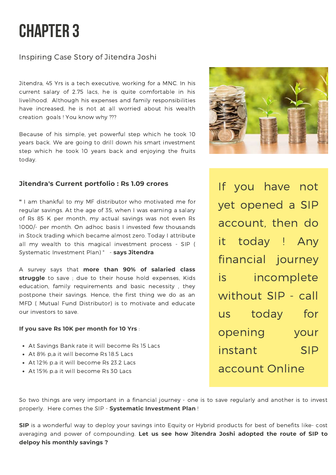# **CHAPTER 3**

# Inspiring Case Story of Jitendra Joshi

Jitendra, 45 Yrs is a tech executive, working for a MNC. In his current salary of 2.75 lacs, he is quite comfortable in his livelihood. Although his expenses and family responsibilities have increased, he is not at all worried about his wealth creation goals ! You know why ???

Because of his simple, yet powerful step which he took 10 years back. We are going to drill down his smart investment step which he took 10 years back and enjoying the fruits today.

### **Jitendra's Current portfolio : Rs 1.09 crores**

**"** I am thankful to my MF distributor who motivated me for regular savings. At the age of 35, when I was earning a salary of Rs 85 K per month, my actual savings was not even Rs 1000/- per month. On adhoc basis I invested few thousands in Stock trading which became almost zero. Today I attribute all my wealth to this magical investment process - SIP ( Systematic Investment Plan) " - **says Jitendra**

A survey says that **more than 90% of salaried class struggle** to save ; due to their house hold expenses, Kids education, family requirements and basic necessity , they postpone their savings. Hence, the first thing we do as an MFD ( Mutual Fund Distributor) is to motivate and educate our investors to save.

### **If you save Rs 10K per month for 10 Yrs** :

- At Savings Bank rate it will become Rs 15 Lacs
- At 8% p,a it will become Rs 18.5 Lacs
- At 12% p.a it will become Rs 23.2 Lacs
- At 15% p.a it will become Rs 30 Lacs

So two things are very important in a financial journey - one is to save regularly and another is to invest properly. Here comes the SIP - **Systematic Investment Plan** !

**SIP** is a wonderful way to deploy your savings into Equity or Hybrid products for best of benefits like- cost averaging and power of compounding. **Let us see how Jitendra Joshi adopted the route of SIP to delpoy his monthly savings ?**



If you have not yet opened a SIP account, then do it today ! Any financial journey is incomplete without SIP - call us today for opening your instant SIP account Online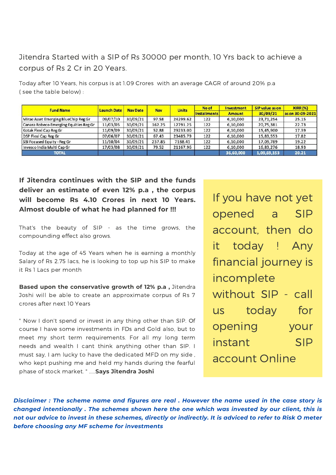# Jitendra Started with a SIP of Rs 30000 per month, 10 Yrs back to achieve a corpus of Rs 2 Cr in 20 Years.

Today after 10 Years, his corpus is at 1.09 Crores with an average CAGR of around 20% p.a ( see the table below) :

| <b>Fund Name</b>                       | <b>Launch Date</b> | <b>Nav Date</b> | <b>Nav</b> | <b>Units</b> | No of         | <b>Investment</b> | SIP value as on  | <b>XIRR (%)</b> |
|----------------------------------------|--------------------|-----------------|------------|--------------|---------------|-------------------|------------------|-----------------|
|                                        |                    |                 |            | Installments | <b>Amount</b> | 30/09/21          | as on 30-09-2021 |                 |
| Mirae Asset Emerging BlueChip Reg Gr   | 09/07/10           | 30/09/21        | 97.58      | 24299.62     | 122           | 6,10,000          | 23,71,254        | 25.15           |
| Canara Robeco Emerging Equities Reg Gr | 11/03/05           | 30/09/21        | 162.25     | 12791.25     | 122           | 6,10,000          | 20,75,381        | 22.73           |
| Kotak Flexi Cap Reg Gr                 | 11/09/09           | 30/09/21        | 52.88      | 29233.00     | 122           | 6,10,000          | 15,45,900        | 17.39           |
| DSP Flexi Cap Reg Gr                   | 07/06/07           | 30/09/21        | 67.43      | 23485.79     | 122           | 6,10,000          | 15,83,553        | 17.82           |
| SBI Focused Equity - Reg Gr            | 11/10/04           | 30/09/21        | 237.85     | 7188.41      | 122           | 6,10,000          | 17,09,789        | 19.22           |
| Invesco India Multi Cap Gr             | 17/03/08           | 30/09/21        | 79.52      | 21167.96     | 122           | 6,10,000          | 16,83,276        | 18.93           |
| TOTAL                                  |                    |                 |            |              |               | 36,60,000         | 1,09,69,153      | 20.21           |

**If Jitendra continues with the SIP and the funds deliver an estimate of even 12% p.a , the corpus will become Rs 4.10 Crores in next 10 Years. Almost double of what he had planned for !!!**

That's the beauty of SIP - as the time grows, the compounding effect also grows.

Today at the age of 45 Years when he is earning a monthly Salary of Rs 2.75 lacs, he is looking to top up his SIP to make it Rs 1 Lacs per month

**Based upon the conservative growth of 12% p.a ,** Jitendra Joshi will be able to create an approximate corpus of Rs 7 crores after next 10 Years

" Now I don't spend or invest in any thing other than SIP. Of course I have some investments in FDs and Gold also, but to meet my short term requirements. For all my long term needs and wealth I cant think anything other than SIP. I must say, I am lucky to have the dedicated MFD on my side , who kept pushing me and held my hands during the fearful phase of stock market. " .....**Says Jitendra Joshi**

If you have not yet opened a SIP account, then do it today ! Any financial journey is incomplete without SIP - call us today for opening your instant SIP account Online

Disclaimer : The scheme name and figures are real . However the name used in the case story is *changed intentionally . The schemes shown here the one which was invested by our client, this is* not our advice to invest in these schemes, directly or indirectly. It is adviced to refer to Risk O meter *before choosing any MF scheme for investments*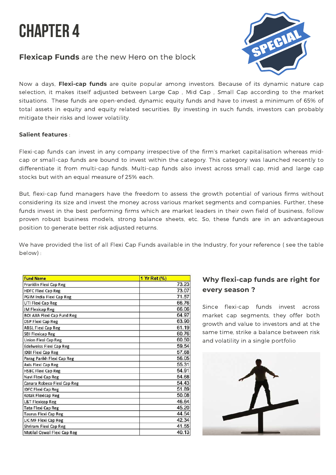

# **Flexicap Funds** are the new Hero on the block



Now a days, **Flexi-cap funds** are quite popular among investors. Because of its dynamic nature cap selection, it makes itself adjusted between Large Cap , Mid Cap , Small Cap according to the market situations. These funds are open-ended, dynamic equity funds and have to invest a minimum of 65% of total assets in equity and equity related securities. By investing in such funds, investors can probably mitigate their risks and lower volatility.

#### **Salient features** :

Flexi-cap funds can invest in any company irrespective of the firm's market capitalisation whereas midcap or small-cap funds are bound to invest within the category. This category was launched recently to differentiate it from multi-cap funds. Multi-cap funds also invest across small cap, mid and large cap stocks but with an equal measure of 25% each.

But, flexi-cap fund managers have the freedom to assess the growth potential of various firms without considering its size and invest the money across various market segments and companies. Further, these funds invest in the best performing firms which are market leaders in their own field of business, follow proven robust business models, strong balance sheets, etc. So, these funds are in an advantageous position to generate better risk adjusted returns.

We have provided the list of all Flexi Cap Funds available in the Industry, for your reference ( see the table below) :

| <b>Fund Name</b>                  | 1 Yr Ret (%) |
|-----------------------------------|--------------|
| Franklin Flexi Cap Reg            | 73.23        |
| <b>HDFC Flexi Cap Reg</b>         | 73.07        |
| PGIM India Flexi Cap Reg          | 71.57        |
| UTI Flexi Cap Reg                 | 66.76        |
| JM Flexicap Reg                   | 66.06        |
| <b>BOI AXA Flexi Cap Fund Reg</b> | 64.97        |
| <b>DSP Flexi Cap Reg</b>          | 63.90        |
| <b>ABSL Flexi Cap Reg</b>         | 61.19        |
| <b>SBI Flexicap Reg</b>           | 60.76        |
| <b>Union Flexi Cap Reg</b>        | 60.50        |
| <b>Edelweiss Flexi Cap Reg</b>    | 59.54        |
| <b>IDBI Flexi Cap Reg</b>         | 57.68        |
| Parag Parikh Flexi Cap Reg        | 56.05        |
| Axis Flexi Cap Reg                | 55.31        |
| <b>HSBC Flexi Cap Reg</b>         | 54.91        |
| Navi Flexi Cap Reg                | 54.68        |
| Canara Robeco Flexi Cap Reg       | 54.43        |
| <b>IDFC Flexi Cap Reg</b>         | 51.89        |
| Kotak Flexicap Reg                | 50.08        |
| <b>L&amp;T Flexicap Reg</b>       | 46.64        |
| <b>Tata Flexi Cap Reg</b>         | 45.20        |
| <b>Taurus Flexi Cap Reg</b>       | 44.54        |
| LIC MF Flexi Cap Reg              | 42.34        |
| Shriram Flexi Cap Reg             | 41.55        |
| Motilal Oswal Flexi Cap Reg       | 40.13        |

## **Why flexi-cap funds are right for every season ?**

Since flexi-cap funds invest across market cap segments, they offer both growth and value to investors and at the same time, strike a balance between risk and volatility in a single portfolio